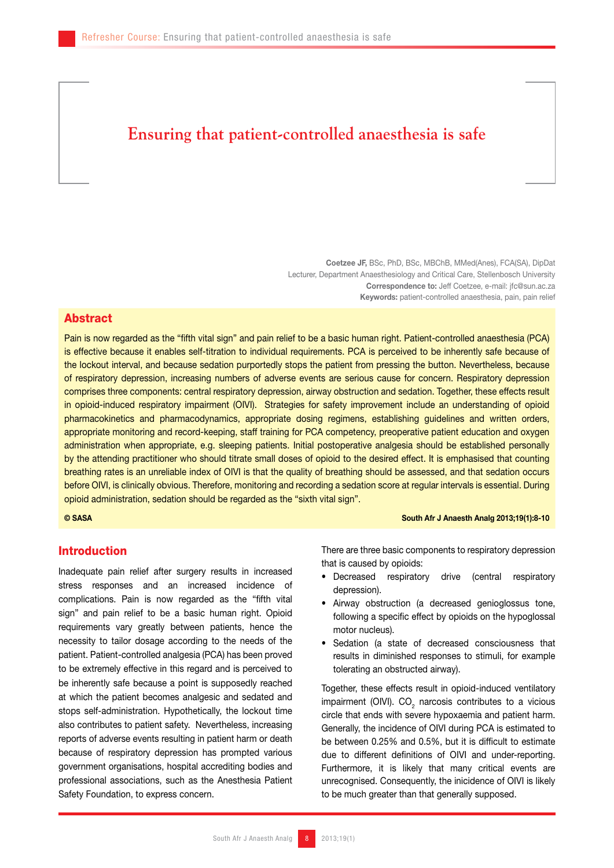# **Ensuring that patient-controlled anaesthesia is safe**

Coetzee JF, BSc, PhD, BSc, MBChB, MMed(Anes), FCA(SA), DipDat Lecturer, Department Anaesthesiology and Critical Care, Stellenbosch University Correspondence to: Jeff Coetzee, e-mail: jfc@sun.ac.za Keywords: patient-controlled anaesthesia, pain, pain relief

#### Abstract

Pain is now regarded as the "fifth vital sign" and pain relief to be a basic human right. Patient-controlled anaesthesia (PCA) is effective because it enables self-titration to individual requirements. PCA is perceived to be inherently safe because of the lockout interval, and because sedation purportedly stops the patient from pressing the button. Nevertheless, because of respiratory depression, increasing numbers of adverse events are serious cause for concern. Respiratory depression comprises three components: central respiratory depression, airway obstruction and sedation. Together, these effects result in opioid-induced respiratory impairment (OIVI). Strategies for safety improvement include an understanding of opioid pharmacokinetics and pharmacodynamics, appropriate dosing regimens, establishing guidelines and written orders, appropriate monitoring and record-keeping, staff training for PCA competency, preoperative patient education and oxygen administration when appropriate, e.g. sleeping patients. Initial postoperative analgesia should be established personally by the attending practitioner who should titrate small doses of opioid to the desired effect. It is emphasised that counting breathing rates is an unreliable index of OIVI is that the quality of breathing should be assessed, and that sedation occurs before OIVI, is clinically obvious. Therefore, monitoring and recording a sedation score at regular intervals is essential. During opioid administration, sedation should be regarded as the "sixth vital sign".

#### © SASA South Afr J Anaesth Analg 2013;19(1):8-10

### Introduction

Inadequate pain relief after surgery results in increased stress responses and an increased incidence of complications. Pain is now regarded as the "fifth vital sign" and pain relief to be a basic human right. Opioid requirements vary greatly between patients, hence the necessity to tailor dosage according to the needs of the patient. Patient-controlled analgesia (PCA) has been proved to be extremely effective in this regard and is perceived to be inherently safe because a point is supposedly reached at which the patient becomes analgesic and sedated and stops self-administration. Hypothetically, the lockout time also contributes to patient safety. Nevertheless, increasing reports of adverse events resulting in patient harm or death because of respiratory depression has prompted various government organisations, hospital accrediting bodies and professional associations, such as the Anesthesia Patient Safety Foundation, to express concern.

There are three basic components to respiratory depression that is caused by opioids:

- • Decreased respiratory drive (central respiratory depression).
- • Airway obstruction (a decreased genioglossus tone, following a specific effect by opioids on the hypoglossal motor nucleus).
- • Sedation (a state of decreased consciousness that results in diminished responses to stimuli, for example tolerating an obstructed airway).

Together, these effects result in opioid-induced ventilatory impairment (OIVI).  $CO<sub>2</sub>$  narcosis contributes to a vicious circle that ends with severe hypoxaemia and patient harm. Generally, the incidence of OIVI during PCA is estimated to be between 0.25% and 0.5%, but it is difficult to estimate due to different definitions of OIVI and under-reporting. Furthermore, it is likely that many critical events are unrecognised. Consequently, the inicidence of OIVI is likely to be much greater than that generally supposed.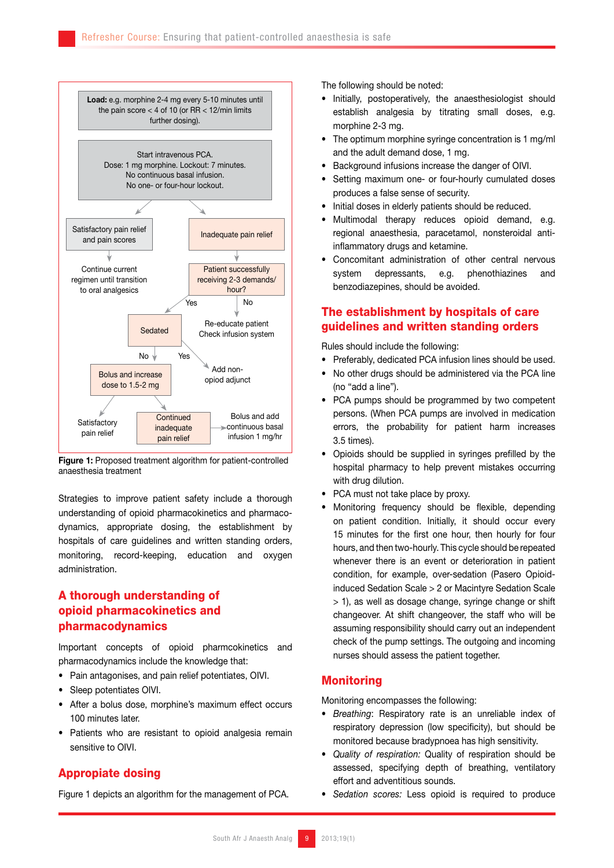

Figure 1: Proposed treatment algorithm for patient-controlled anaesthesia treatment

Strategies to improve patient safety include a thorough understanding of opioid pharmacokinetics and pharmacodynamics, appropriate dosing, the establishment by hospitals of care guidelines and written standing orders, monitoring, record-keeping, education and oxygen administration.

# A thorough understanding of opioid pharmacokinetics and pharmacodynamics

Important concepts of opioid pharmcokinetics and pharmacodynamics include the knowledge that:

- • Pain antagonises, and pain relief potentiates, OIVI.
- • Sleep potentiates OIVI.
- • After a bolus dose, morphine's maximum effect occurs 100 minutes later.
- Patients who are resistant to opioid analgesia remain sensitive to OIVI.

# Appropiate dosing

Figure 1 depicts an algorithm for the management of PCA.

The following should be noted:

- • Initially, postoperatively, the anaesthesiologist should establish analgesia by titrating small doses, e.g. morphine 2-3 mg.
- The optimum morphine syringe concentration is 1 mg/ml and the adult demand dose, 1 mg.
- • Background infusions increase the danger of OIVI.
- Setting maximum one- or four-hourly cumulated doses produces a false sense of security.
- Initial doses in elderly patients should be reduced.
- • Multimodal therapy reduces opioid demand, e.g. regional anaesthesia, paracetamol, nonsteroidal antiinflammatory drugs and ketamine.
- • Concomitant administration of other central nervous system depressants, e.g. phenothiazines and benzodiazepines, should be avoided.

# The establishment by hospitals of care guidelines and written standing orders

Rules should include the following:

- Preferably, dedicated PCA infusion lines should be used.
- No other drugs should be administered via the PCA line (no "add a line").
- PCA pumps should be programmed by two competent persons. (When PCA pumps are involved in medication errors, the probability for patient harm increases 3.5 times).
- • Opioids should be supplied in syringes prefilled by the hospital pharmacy to help prevent mistakes occurring with drug dilution.
- PCA must not take place by proxy.
- Monitoring frequency should be flexible, depending on patient condition. Initially, it should occur every 15 minutes for the first one hour, then hourly for four hours, and then two-hourly. This cycle should be repeated whenever there is an event or deterioration in patient condition, for example, over-sedation (Pasero Opioidinduced Sedation Scale > 2 or Macintyre Sedation Scale > 1), as well as dosage change, syringe change or shift changeover. At shift changeover, the staff who will be assuming responsibility should carry out an independent check of the pump settings. The outgoing and incoming nurses should assess the patient together.

### **Monitoring**

Monitoring encompasses the following:

- • *Breathing*: Respiratory rate is an unreliable index of respiratory depression (low specificity), but should be monitored because bradypnoea has high sensitivity.
- • Quality of respiration: Quality of respiration should be assessed, specifying depth of breathing, ventilatory effort and adventitious sounds.
- Sedation scores: Less opioid is required to produce